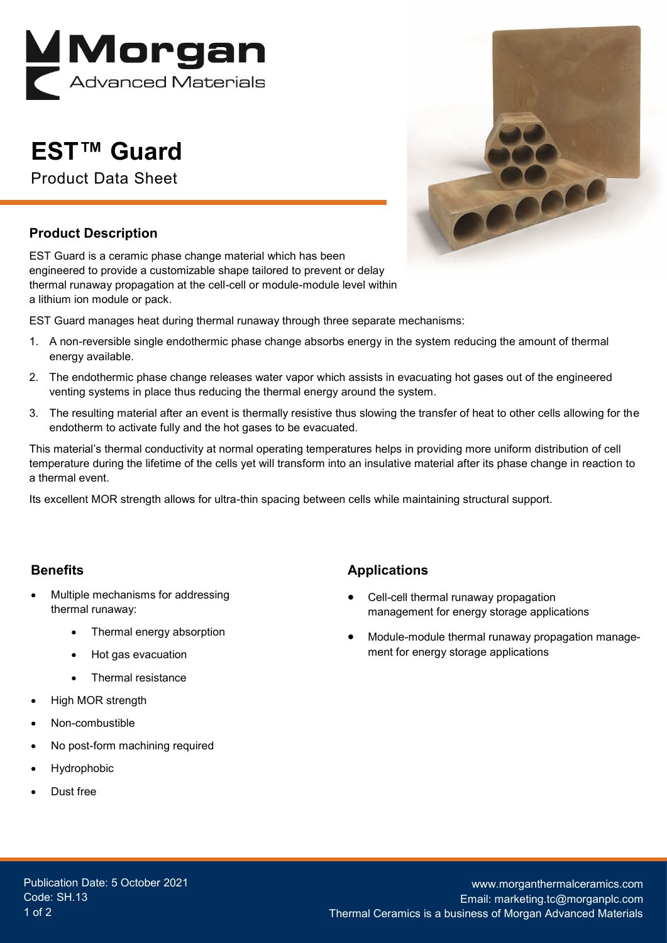

**EST™ Guard**

Product Data Sheet

## **Product Description**

EST Guard is a ceramic phase change material which has been engineered to provide a customizable shape tailored to prevent or delay thermal runaway propagation at the cell-cell or module-module level within a lithium ion module or pack.

EST Guard manages heat during thermal runaway through three separate mechanisms:

- 1. A non-reversible single endothermic phase change absorbs energy in the system reducing the amount of thermal energy available.
- 2. The endothermic phase change releases water vapor which assists in evacuating hot gases out of the engineered venting systems in place thus reducing the thermal energy around the system.
- 3. The resulting material after an event is thermally resistive thus slowing the transfer of heat to other cells allowing for the endotherm to activate fully and the hot gases to be evacuated.

This material's thermal conductivity at normal operating temperatures helps in providing more uniform distribution of cell temperature during the lifetime of the cells yet will transform into an insulative material after its phase change in reaction to a thermal event.

Its excellent MOR strength allows for ultra-thin spacing between cells while maintaining structural support.

## **Benefits**

- Multiple mechanisms for addressing thermal runaway:
	- Thermal energy absorption
	- Hot gas evacuation
	- Thermal resistance
- High MOR strength
- Non-combustible
- No post-form machining required
- **Hydrophobic**
- Dust free

## **Applications**

- Cell-cell thermal runaway propagation management for energy storage applications
- Module-module thermal runaway propagation management for energy storage applications